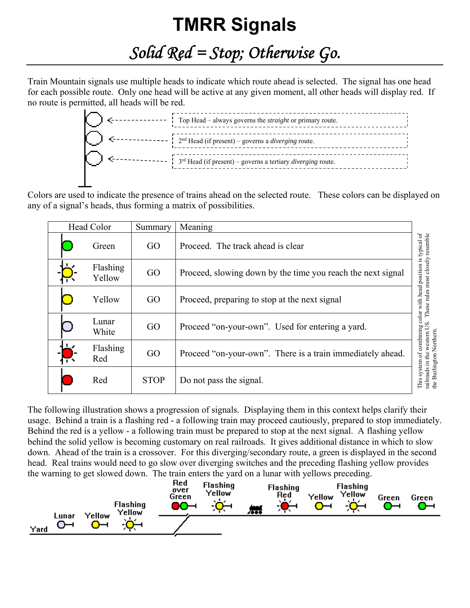## **TMRR Signals**

*Solid Red = Stop; Otherwise Go.* 

Train Mountain signals use multiple heads to indicate which route ahead is selected. The signal has one head for each possible route. Only one head will be active at any given moment, all other heads will display red. If no route is permitted, all heads will be red.



Colors are used to indicate the presence of trains ahead on the selected route. These colors can be displayed on any of a signal's heads, thus forming a matrix of possibilities.

| Head Color |                    | Summary     | Meaning                                                     |                                                                    |
|------------|--------------------|-------------|-------------------------------------------------------------|--------------------------------------------------------------------|
|            | Green              | GO          | Proceed. The track ahead is clear                           | resemble                                                           |
|            | Flashing<br>Yellow | GO          | Proceed, slowing down by the time you reach the next signal | color with head position is typical of<br>These rules most closely |
|            | Yellow             | GO          | Proceed, preparing to stop at the next signal               |                                                                    |
|            | Lunar<br>White     | GO          | Proceed "on-your-own". Used for entering a yard.            | S                                                                  |
|            | Flashing<br>Red    | GO          | Proceed "on-your-own". There is a train immediately ahead.  | of combining<br>the Burlington Northern<br>western                 |
|            | Red                | <b>STOP</b> | Do not pass the signal.                                     | railroads in the<br>system<br>This                                 |

The following illustration shows a progression of signals. Displaying them in this context helps clarify their usage. Behind a train is a flashing red - a following train may proceed cautiously, prepared to stop immediately. Behind the red is a yellow - a following train must be prepared to stop at the next signal. A flashing yellow behind the solid yellow is becoming customary on real railroads. It gives additional distance in which to slow down. Ahead of the train is a crossover. For this diverging/secondary route, a green is displayed in the second head. Real trains would need to go slow over diverging switches and the preceding flashing yellow provides the warning to get slowed down. The train enters the yard on a lunar with yellows preceding.

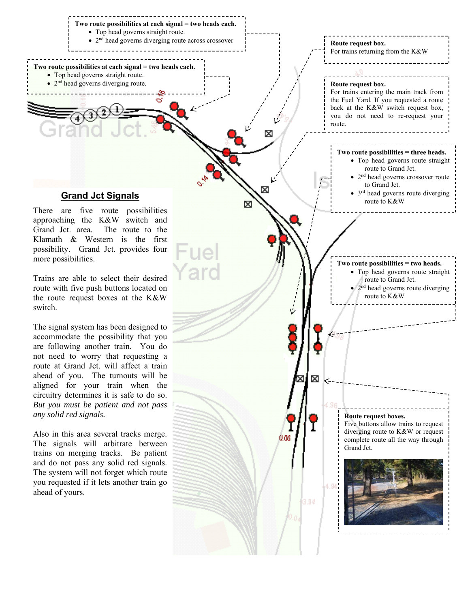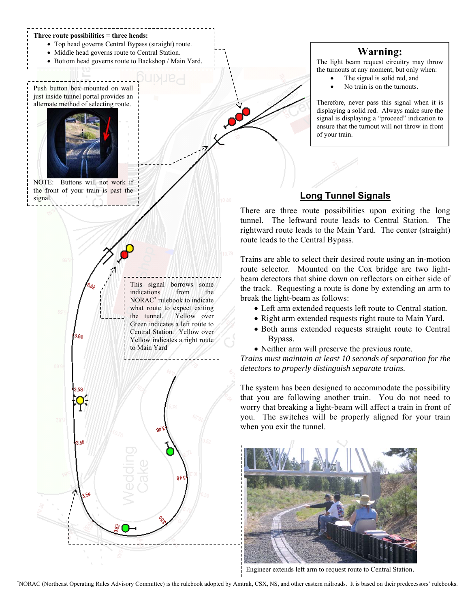

## **Warning:**

The light beam request circuitry may throw the turnouts at any moment, but only when:

- The signal is solid red, and
- No train is on the turnouts.

Therefore, never pass this signal when it is displaying a solid red. Always make sure the signal is displaying a "proceed" indication to ensure that the turnout will not throw in front of your train.

## **Long Tunnel Signals**

There are three route possibilities upon exiting the long tunnel. The leftward route leads to Central Station. The rightward route leads to the Main Yard. The center (straight) route leads to the Central Bypass.

Trains are able to select their desired route using an in-motion route selector. Mounted on the Cox bridge are two lightbeam detectors that shine down on reflectors on either side of the track. Requesting a route is done by extending an arm to break the light-beam as follows:

- Left arm extended requests left route to Central station.
- Right arm extended requests right route to Main Yard.
- Both arms extended requests straight route to Central Bypass.
- Neither arm will preserve the previous route.

*Trains must maintain at least 10 seconds of separation for the detectors to properly distinguish separate trains.* 

The system has been designed to accommodate the possibility that you are following another train. You do not need to worry that breaking a light-beam will affect a train in front of you. The switches will be properly aligned for your train when you exit the tunnel.



Engineer extends left arm to request route to Central Station.